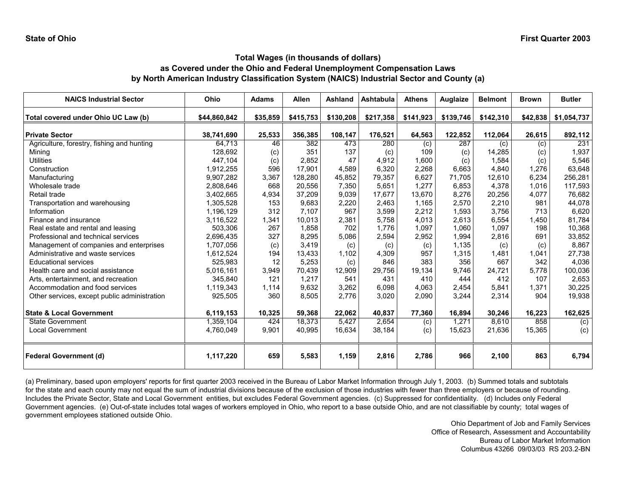| <b>NAICS Industrial Sector</b>               | Ohio         | <b>Adams</b> | <b>Allen</b> | Ashland   | Ashtabula | <b>Athens</b> | Auglaize  | <b>Belmont</b> | <b>Brown</b> | <b>Butler</b> |
|----------------------------------------------|--------------|--------------|--------------|-----------|-----------|---------------|-----------|----------------|--------------|---------------|
| Total covered under Ohio UC Law (b)          | \$44,860,842 | \$35,859     | \$415,753    | \$130,208 | \$217,358 | \$141,923     | \$139,746 | \$142,310      | \$42,838     | \$1,054,737   |
| <b>Private Sector</b>                        | 38,741,690   | 25,533       | 356,385      | 108,147   | 176,521   | 64,563        | 122,852   | 112,064        | 26,615       | 892,112       |
| Agriculture, forestry, fishing and hunting   | 64,713       | 46           | 382          | 473       | 280       | (c)           | 287       | (c)            | (c)          | 231           |
| Mining                                       | 128.692      | (c)          | 351          | 137       | (c)       | 109           | (c)       | 14,285         | (c)          | 1,937         |
| <b>Utilities</b>                             | 447,104      | (c)          | 2,852        | 47        | 4,912     | 1,600         | (c)       | 1,584          | (c)          | 5,546         |
| Construction                                 | 1,912,255    | 596          | 17.901       | 4,589     | 6,320     | 2,268         | 6,663     | 4,840          | 1.276        | 63,648        |
| Manufacturing                                | 9,907,282    | 3,367        | 128,280      | 45,852    | 79,357    | 6,627         | 71,705    | 12,610         | 6,234        | 256,281       |
| Wholesale trade                              | 2,808,646    | 668          | 20,556       | 7,350     | 5,651     | 1,277         | 6,853     | 4,378          | 1,016        | 117,593       |
| Retail trade                                 | 3,402,665    | 4,934        | 37,209       | 9,039     | 17,677    | 13,670        | 8,276     | 20,256         | 4,077        | 76,682        |
| Transportation and warehousing               | 1,305,528    | 153          | 9,683        | 2,220     | 2,463     | 1.165         | 2,570     | 2,210          | 981          | 44,078        |
| Information                                  | 1,196,129    | 312          | 7,107        | 967       | 3,599     | 2,212         | 1,593     | 3,756          | 713          | 6,620         |
| Finance and insurance                        | 3,116,522    | 1,341        | 10,013       | 2,381     | 5.758     | 4.013         | 2,613     | 6,554          | 1,450        | 81,784        |
| Real estate and rental and leasing           | 503,306      | 267          | 1,858        | 702       | 1,776     | 1,097         | 1,060     | 1,097          | 198          | 10,368        |
| Professional and technical services          | 2,696,435    | 327          | 8,295        | 5,086     | 2,594     | 2,952         | 1,994     | 2,816          | 691          | 33,852        |
| Management of companies and enterprises      | 1,707,056    | (c)          | 3,419        | (c)       | (c)       | (c)           | 1,135     | (c)            | (c)          | 8,867         |
| Administrative and waste services            | 1,612,524    | 194          | 13,433       | 1,102     | 4,309     | 957           | 1,315     | 1,481          | 1,041        | 27,738        |
| <b>Educational services</b>                  | 525.983      | 12           | 5,253        | (c)       | 846       | 383           | 356       | 667            | 342          | 4,036         |
| Health care and social assistance            | 5,016,161    | 3,949        | 70,439       | 12,909    | 29,756    | 19,134        | 9,746     | 24,721         | 5,778        | 100,036       |
| Arts, entertainment, and recreation          | 345.840      | 121          | 1,217        | 541       | 431       | 410           | 444       | 412            | 107          | 2,653         |
| Accommodation and food services              | 1,119,343    | 1,114        | 9,632        | 3,262     | 6,098     | 4,063         | 2,454     | 5,841          | 1,371        | 30,225        |
| Other services, except public administration | 925,505      | 360          | 8,505        | 2,776     | 3,020     | 2,090         | 3,244     | 2,314          | 904          | 19,938        |
| <b>State &amp; Local Government</b>          | 6,119,153    | 10,325       | 59,368       | 22,062    | 40,837    | 77,360        | 16,894    | 30,246         | 16,223       | 162,625       |
| <b>State Government</b>                      | 1,359,104    | 424          | 18,373       | 5,427     | 2,654     | (c)           | 1,271     | 8,610          | 858          | (c)           |
| <b>Local Government</b>                      | 4,760,049    | 9,901        | 40,995       | 16,634    | 38,184    | (c)           | 15,623    | 21,636         | 15,365       | (c)           |
| <b>Federal Government (d)</b>                | 1,117,220    | 659          | 5,583        | 1,159     | 2,816     | 2,786         | 966       | 2,100          | 863          | 6,794         |

(a) Preliminary, based upon employers' reports for first quarter 2003 received in the Bureau of Labor Market Information through July 1, 2003. (b) Summed totals and subtotals for the state and each county may not equal the sum of industrial divisions because of the exclusion of those industries with fewer than three employers or because of rounding. Includes the Private Sector, State and Local Government entities, but excludes Federal Government agencies. (c) Suppressed for confidentiality. (d) Includes only Federal Government agencies. (e) Out-of-state includes total wages of workers employed in Ohio, who report to a base outside Ohio, and are not classifiable by county; total wages of government employees stationed outside Ohio.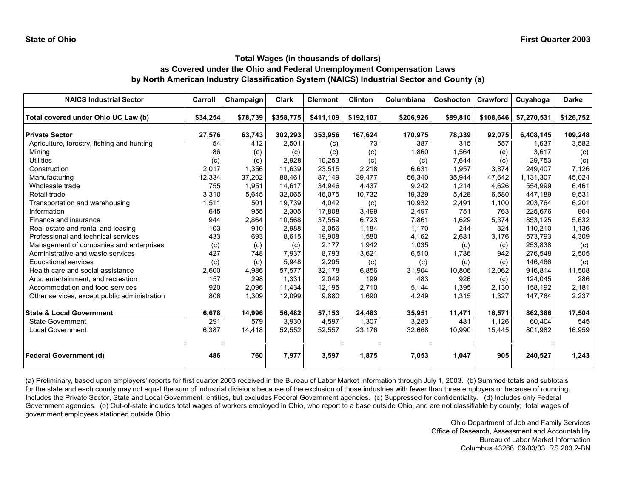| <b>NAICS Industrial Sector</b>               | Carroll  | Champaign | <b>Clark</b> | <b>Clermont</b> | <b>Clinton</b> | Columbiana | <b>Coshocton</b> | Crawford  | Cuyahoga    | <b>Darke</b> |
|----------------------------------------------|----------|-----------|--------------|-----------------|----------------|------------|------------------|-----------|-------------|--------------|
| Total covered under Ohio UC Law (b)          | \$34,254 | \$78,739  | \$358,775    | \$411,109       | \$192,107      | \$206,926  | \$89,810         | \$108,646 | \$7,270,531 | \$126,752    |
| <b>Private Sector</b>                        | 27,576   | 63,743    | 302,293      | 353,956         | 167,624        | 170,975    | 78,339           | 92,075    | 6,408,145   | 109,248      |
| Agriculture, forestry, fishing and hunting   | 54       | 412       | 2,501        | (c)             | 73             | 387        | 315              | 557       | 1,637       | 3,582        |
| Mining                                       | 86       | (c)       | (c)          | (c)             | (c)            | 1,860      | 1,564            | (c)       | 3,617       | (c)          |
| <b>Utilities</b>                             | (c)      | (c)       | 2,928        | 10,253          | (c)            | (c)        | 7,644            | (c)       | 29,753      | (c)          |
| Construction                                 | 2,017    | 1,356     | 11,639       | 23,515          | 2,218          | 6,631      | 1,957            | 3,874     | 249,407     | 7,126        |
| Manufacturing                                | 12,334   | 37,202    | 88,461       | 87,149          | 39,477         | 56,340     | 35,944           | 47,642    | 1,131,307   | 45,024       |
| Wholesale trade                              | 755      | 1,951     | 14,617       | 34,946          | 4,437          | 9,242      | 1,214            | 4,626     | 554,999     | 6,461        |
| Retail trade                                 | 3,310    | 5.645     | 32.065       | 46.075          | 10,732         | 19,329     | 5,428            | 6,580     | 447,189     | 9,531        |
| Transportation and warehousing               | 1,511    | 501       | 19,739       | 4,042           | (c)            | 10,932     | 2,491            | 1,100     | 203,764     | 6,201        |
| Information                                  | 645      | 955       | 2,305        | 17,808          | 3,499          | 2,497      | 751              | 763       | 225,676     | 904          |
| Finance and insurance                        | 944      | 2,864     | 10,568       | 37,559          | 6,723          | 7,861      | 1,629            | 5,374     | 853,125     | 5,632        |
| Real estate and rental and leasing           | 103      | 910       | 2,988        | 3,056           | 1,184          | 1,170      | 244              | 324       | 110,210     | 1,136        |
| Professional and technical services          | 433      | 693       | 8,615        | 19,908          | 1,580          | 4,162      | 2,681            | 3,176     | 573,793     | 4,309        |
| Management of companies and enterprises      | (c)      | (c)       | (c)          | 2,177           | 1,942          | 1,035      | (c)              | (c)       | 253,838     | (c)          |
| Administrative and waste services            | 427      | 748       | 7,937        | 8,793           | 3,621          | 6,510      | 1,786            | 942       | 276,548     | 2,505        |
| <b>Educational services</b>                  | (c)      | (c)       | 5,948        | 2,205           | (c)            | (c)        | (c)              | (c)       | 146,466     | (c)          |
| Health care and social assistance            | 2,600    | 4,986     | 57,577       | 32,178          | 6,856          | 31,904     | 10,806           | 12,062    | 916,814     | 11,508       |
| Arts, entertainment, and recreation          | 157      | 298       | 1,331        | 2,049           | 199            | 483        | 926              | (c)       | 124,045     | 286          |
| Accommodation and food services              | 920      | 2,096     | 11,434       | 12,195          | 2,710          | 5,144      | 1,395            | 2,130     | 158,192     | 2,181        |
| Other services, except public administration | 806      | 1,309     | 12,099       | 9,880           | 1,690          | 4,249      | 1,315            | 1,327     | 147,764     | 2,237        |
| <b>State &amp; Local Government</b>          | 6,678    | 14,996    | 56,482       | 57,153          | 24,483         | 35,951     | 11,471           | 16,571    | 862,386     | 17,504       |
| <b>State Government</b>                      | 291      | 579       | 3,930        | 4,597           | 1,307          | 3,283      | 481              | 1,126     | 60,404      | 545          |
| Local Government                             | 6,387    | 14,418    | 52,552       | 52,557          | 23,176         | 32,668     | 10,990           | 15,445    | 801,982     | 16,959       |
| <b>Federal Government (d)</b>                | 486      | 760       | 7,977        | 3,597           | 1,875          | 7,053      | 1,047            | 905       | 240,527     | 1,243        |

(a) Preliminary, based upon employers' reports for first quarter 2003 received in the Bureau of Labor Market Information through July 1, 2003. (b) Summed totals and subtotals for the state and each county may not equal the sum of industrial divisions because of the exclusion of those industries with fewer than three employers or because of rounding. Includes the Private Sector, State and Local Government entities, but excludes Federal Government agencies. (c) Suppressed for confidentiality. (d) Includes only Federal Government agencies. (e) Out-of-state includes total wages of workers employed in Ohio, who report to a base outside Ohio, and are not classifiable by county; total wages of government employees stationed outside Ohio.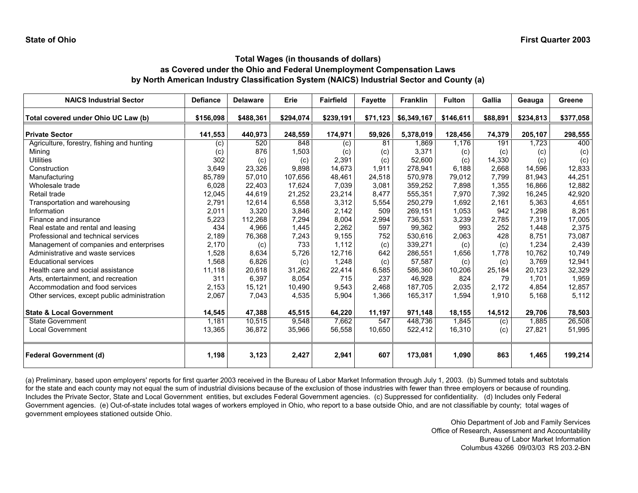| <b>NAICS Industrial Sector</b>               | <b>Defiance</b> | <b>Delaware</b> | Erie      | <b>Fairfield</b> | <b>Fayette</b> | <b>Franklin</b> | <b>Fulton</b> | Gallia   | Geauga    | Greene    |
|----------------------------------------------|-----------------|-----------------|-----------|------------------|----------------|-----------------|---------------|----------|-----------|-----------|
| Total covered under Ohio UC Law (b)          | \$156,098       | \$488,361       | \$294,074 | \$239,191        | \$71,123       | \$6,349,167     | \$146,611     | \$88,891 | \$234,813 | \$377,058 |
| <b>Private Sector</b>                        | 141,553         | 440,973         | 248,559   | 174,971          | 59,926         | 5,378,019       | 128,456       | 74,379   | 205,107   | 298,555   |
| Agriculture, forestry, fishing and hunting   | (c)             | 520             | 848       | (c)              | 81             | 1.869           | 1,176         | 191      | 1.723     | 400       |
| Mining                                       | (c)             | 876             | 1,503     | (c)              | (c)            | 3,371           | (c)           | (c)      | (c)       | (c)       |
| <b>Utilities</b>                             | 302             | (c)             | (c)       | 2,391            | (c)            | 52,600          | (c)           | 14,330   | (c)       | (c)       |
| Construction                                 | 3,649           | 23,326          | 9,898     | 14,673           | 1,911          | 278,941         | 6,188         | 2,668    | 14,596    | 12,833    |
| Manufacturing                                | 85,789          | 57,010          | 107,656   | 48,461           | 24,518         | 570.978         | 79,012        | 7.799    | 81,943    | 44,251    |
| Wholesale trade                              | 6,028           | 22,403          | 17,624    | 7,039            | 3,081          | 359,252         | 7,898         | 1,355    | 16,866    | 12,882    |
| Retail trade                                 | 12,045          | 44,619          | 21,252    | 23,214           | 8,477          | 555,351         | 7,970         | 7,392    | 16,245    | 42,920    |
| Transportation and warehousing               | 2,791           | 12,614          | 6,558     | 3,312            | 5,554          | 250,279         | 1.692         | 2,161    | 5,363     | 4,651     |
| Information                                  | 2,011           | 3,320           | 3,846     | 2,142            | 509            | 269,151         | 1,053         | 942      | 1,298     | 8,261     |
| Finance and insurance                        | 5,223           | 112,268         | 7,294     | 8,004            | 2,994          | 736.531         | 3,239         | 2,785    | 7,319     | 17,005    |
| Real estate and rental and leasing           | 434             | 4,966           | 1,445     | 2,262            | 597            | 99,362          | 993           | 252      | 1,448     | 2,375     |
| Professional and technical services          | 2,189           | 76,368          | 7,243     | 9,155            | 752            | 530,616         | 2,063         | 428      | 8,751     | 73,087    |
| Management of companies and enterprises      | 2,170           | (c)             | 733       | 1,112            | (c)            | 339,271         | (c)           | (c)      | 1,234     | 2,439     |
| Administrative and waste services            | 1,528           | 8,634           | 5,726     | 12,716           | 642            | 286,551         | 1,656         | 1,778    | 10,762    | 10,749    |
| <b>Educational services</b>                  | 1,568           | 6,826           | (c)       | 1,248            | (c)            | 57,587          | (c)           | (c)      | 3,769     | 12,941    |
| Health care and social assistance            | 11,118          | 20,618          | 31,262    | 22,414           | 6,585          | 586,360         | 10,206        | 25,184   | 20,123    | 32,329    |
| Arts, entertainment, and recreation          | 311             | 6.397           | 8,054     | 715              | 237            | 46.928          | 824           | 79       | 1.701     | 1,959     |
| Accommodation and food services              | 2,153           | 15,121          | 10,490    | 9,543            | 2,468          | 187,705         | 2,035         | 2,172    | 4,854     | 12,857    |
| Other services, except public administration | 2,067           | 7,043           | 4,535     | 5,904            | 1,366          | 165,317         | 1,594         | 1,910    | 5,168     | 5,112     |
| <b>State &amp; Local Government</b>          | 14,545          | 47,388          | 45,515    | 64,220           | 11,197         | 971,148         | 18,155        | 14,512   | 29,706    | 78,503    |
| <b>State Government</b>                      | 1,181           | 10,515          | 9,548     | 7,662            | 547            | 448,736         | 1,845         | (c)      | 1.885     | 26,508    |
| Local Government                             | 13,365          | 36,872          | 35,966    | 56,558           | 10,650         | 522,412         | 16,310        | (c)      | 27,821    | 51,995    |
| <b>Federal Government (d)</b>                | 1,198           | 3,123           | 2,427     | 2,941            | 607            | 173,081         | 1,090         | 863      | 1,465     | 199,214   |

(a) Preliminary, based upon employers' reports for first quarter 2003 received in the Bureau of Labor Market Information through July 1, 2003. (b) Summed totals and subtotals for the state and each county may not equal the sum of industrial divisions because of the exclusion of those industries with fewer than three employers or because of rounding. Includes the Private Sector, State and Local Government entities, but excludes Federal Government agencies. (c) Suppressed for confidentiality. (d) Includes only Federal Government agencies. (e) Out-of-state includes total wages of workers employed in Ohio, who report to a base outside Ohio, and are not classifiable by county; total wages of government employees stationed outside Ohio.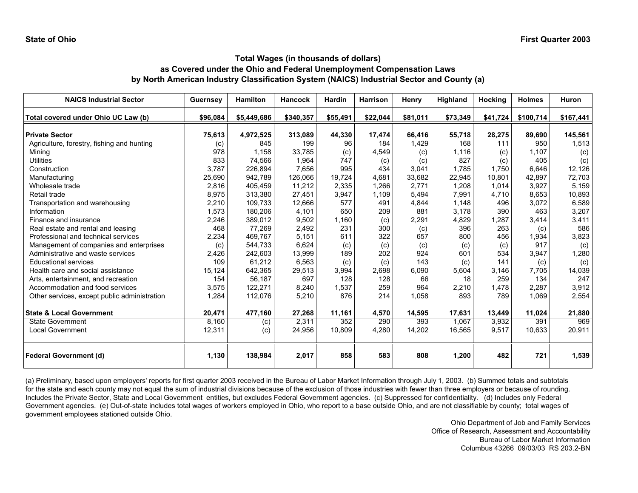| <b>NAICS Industrial Sector</b>               | <b>Guernsey</b> | Hamilton    | <b>Hancock</b> | <b>Hardin</b> | <b>Harrison</b> | Henry    | <b>Highland</b> | Hocking  | <b>Holmes</b> | Huron     |
|----------------------------------------------|-----------------|-------------|----------------|---------------|-----------------|----------|-----------------|----------|---------------|-----------|
| Total covered under Ohio UC Law (b)          | \$96.084        | \$5,449,686 | \$340,357      | \$55,491      | \$22,044        | \$81,011 | \$73,349        | \$41,724 | \$100,714     | \$167,441 |
| <b>Private Sector</b>                        | 75,613          | 4,972,525   | 313,089        | 44,330        | 17,474          | 66,416   | 55,718          | 28,275   | 89,690        | 145,561   |
| Agriculture, forestry, fishing and hunting   | (c)             | 845         | 199            | 96            | 184             | 1,429    | 168             | 111      | 950           | 1,513     |
| Mining                                       | 978             | 1,158       | 33,785         | (c)           | 4,549           | (c)      | 1,116           | (c)      | 1,107         | (c)       |
| Utilities                                    | 833             | 74,566      | 1,964          | 747           | (c)             | (c)      | 827             | (c)      | 405           | (c)       |
| Construction                                 | 3,787           | 226,894     | 7,656          | 995           | 434             | 3,041    | 1.785           | 1.750    | 6,646         | 12,126    |
| Manufacturing                                | 25,690          | 942,789     | 126,066        | 19.724        | 4,681           | 33,682   | 22,945          | 10,801   | 42,897        | 72,703    |
| Wholesale trade                              | 2,816           | 405,459     | 11,212         | 2,335         | 1,266           | 2,771    | 1,208           | 1,014    | 3,927         | 5,159     |
| Retail trade                                 | 8,975           | 313,380     | 27,451         | 3,947         | 1,109           | 5,494    | 7,991           | 4,710    | 8,653         | 10,893    |
| Transportation and warehousing               | 2,210           | 109,733     | 12,666         | 577           | 491             | 4,844    | 1,148           | 496      | 3,072         | 6,589     |
| Information                                  | 1,573           | 180,206     | 4,101          | 650           | 209             | 881      | 3,178           | 390      | 463           | 3,207     |
| Finance and insurance                        | 2,246           | 389,012     | 9,502          | 1,160         | (c)             | 2,291    | 4,829           | 1,287    | 3,414         | 3,411     |
| Real estate and rental and leasing           | 468             | 77,269      | 2,492          | 231           | 300             | (c)      | 396             | 263      | (c)           | 586       |
| Professional and technical services          | 2,234           | 469,767     | 5,151          | 611           | 322             | 657      | 800             | 456      | 1,934         | 3,823     |
| Management of companies and enterprises      | (c)             | 544,733     | 6,624          | (c)           | (c)             | (c)      | (c)             | (c)      | 917           | (c)       |
| Administrative and waste services            | 2,426           | 242,603     | 13,999         | 189           | 202             | 924      | 601             | 534      | 3,947         | 1,280     |
| <b>Educational services</b>                  | 109             | 61,212      | 6,563          | (c)           | (c)             | 143      | (c)             | 141      | (c)           | (c)       |
| Health care and social assistance            | 15,124          | 642,365     | 29,513         | 3,994         | 2,698           | 6,090    | 5,604           | 3,146    | 7,705         | 14,039    |
| Arts, entertainment, and recreation          | 154             | 56,187      | 697            | 128           | 128             | 66       | 18              | 259      | 134           | 247       |
| Accommodation and food services              | 3,575           | 122,271     | 8,240          | 1,537         | 259             | 964      | 2,210           | 1,478    | 2,287         | 3,912     |
| Other services, except public administration | 1,284           | 112,076     | 5,210          | 876           | 214             | 1,058    | 893             | 789      | 1,069         | 2,554     |
| <b>State &amp; Local Government</b>          | 20,471          | 477,160     | 27,268         | 11,161        | 4,570           | 14,595   | 17,631          | 13,449   | 11,024        | 21,880    |
| <b>State Government</b>                      | 8,160           | (c)         | 2,311          | 352           | 290             | 393      | 1,067           | 3,932    | 391           | 969       |
| <b>Local Government</b>                      | 12,311          | (c)         | 24,956         | 10,809        | 4,280           | 14,202   | 16,565          | 9,517    | 10,633        | 20,911    |
| <b>Federal Government (d)</b>                | 1,130           | 138,984     | 2,017          | 858           | 583             | 808      | 1,200           | 482      | 721           | 1,539     |

(a) Preliminary, based upon employers' reports for first quarter 2003 received in the Bureau of Labor Market Information through July 1, 2003. (b) Summed totals and subtotals for the state and each county may not equal the sum of industrial divisions because of the exclusion of those industries with fewer than three employers or because of rounding. Includes the Private Sector, State and Local Government entities, but excludes Federal Government agencies. (c) Suppressed for confidentiality. (d) Includes only Federal Government agencies. (e) Out-of-state includes total wages of workers employed in Ohio, who report to a base outside Ohio, and are not classifiable by county; total wages of government employees stationed outside Ohio.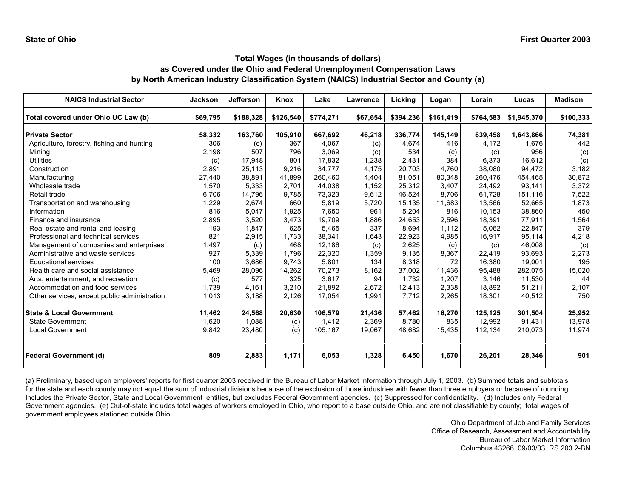| <b>NAICS Industrial Sector</b>               | <b>Jackson</b> | <b>Jefferson</b> | Knox      | Lake      | Lawrence | Licking   | Logan     | Lorain    | Lucas       | <b>Madison</b> |
|----------------------------------------------|----------------|------------------|-----------|-----------|----------|-----------|-----------|-----------|-------------|----------------|
| Total covered under Ohio UC Law (b)          | \$69,795       | \$188,328        | \$126,540 | \$774,271 | \$67,654 | \$394,236 | \$161,419 | \$764,583 | \$1,945,370 | \$100,333      |
| <b>Private Sector</b>                        | 58,332         | 163,760          | 105,910   | 667,692   | 46,218   | 336,774   | 145,149   | 639,458   | 1,643,866   | 74,381         |
| Agriculture, forestry, fishing and hunting   | 306            | (c)              | 367       | 4,067     | (c)      | 4,674     | 416       | 4,172     | 1,676       | 442            |
| Mining                                       | 2,198          | 507              | 796       | 3,069     | (c)      | 534       | (c)       | (c)       | 956         | (c)            |
| Utilities                                    | (c)            | 17,948           | 801       | 17,832    | 1,238    | 2,431     | 384       | 6,373     | 16,612      | (c)            |
| Construction                                 | 2,891          | 25,113           | 9,216     | 34,777    | 4,175    | 20,703    | 4.760     | 38,080    | 94,472      | 3,182          |
| Manufacturing                                | 27,440         | 38,891           | 41,899    | 260,460   | 4.404    | 81,051    | 80.348    | 260,476   | 454,465     | 30,872         |
| Wholesale trade                              | 1,570          | 5,333            | 2,701     | 44,038    | 1,152    | 25,312    | 3,407     | 24,492    | 93,141      | 3,372          |
| Retail trade                                 | 6,706          | 14,796           | 9,785     | 73,323    | 9,612    | 46,524    | 8,706     | 61,728    | 151,116     | 7,522          |
| Transportation and warehousing               | 1,229          | 2,674            | 660       | 5,819     | 5,720    | 15,135    | 11,683    | 13,566    | 52,665      | 1,873          |
| Information                                  | 816            | 5,047            | 1,925     | 7,650     | 961      | 5,204     | 816       | 10,153    | 38,860      | 450            |
| Finance and insurance                        | 2,895          | 3,520            | 3,473     | 19.709    | 1,886    | 24,653    | 2.596     | 18,391    | 77,911      | 1,564          |
| Real estate and rental and leasing           | 193            | 1,847            | 625       | 5,465     | 337      | 8.694     | 1,112     | 5,062     | 22,847      | 379            |
| Professional and technical services          | 821            | 2,915            | 1,733     | 38,341    | 1,643    | 22,923    | 4,985     | 16,917    | 95,114      | 4,218          |
| Management of companies and enterprises      | 1,497          | (c)              | 468       | 12.186    | (c)      | 2,625     | (c)       | (c)       | 46,008      | (c)            |
| Administrative and waste services            | 927            | 5,339            | 1.796     | 22,320    | 1,359    | 9,135     | 8,367     | 22,419    | 93,693      | 2,273          |
| <b>Educational services</b>                  | 100            | 3,686            | 9,743     | 5,801     | 134      | 8,318     | 72        | 16,380    | 19,001      | 195            |
| Health care and social assistance            | 5,469          | 28,096           | 14,262    | 70,273    | 8,162    | 37,002    | 11,436    | 95,488    | 282,075     | 15,020         |
| Arts, entertainment, and recreation          | (c)            | 577              | 325       | 3.617     | 94       | 1.732     | 1.207     | 3.146     | 11,530      | 44             |
| Accommodation and food services              | 1,739          | 4,161            | 3,210     | 21,892    | 2,672    | 12,413    | 2,338     | 18,892    | 51,211      | 2,107          |
| Other services, except public administration | 1,013          | 3,188            | 2,126     | 17,054    | 1,991    | 7,712     | 2,265     | 18,301    | 40,512      | 750            |
| <b>State &amp; Local Government</b>          | 11,462         | 24,568           | 20,630    | 106,579   | 21,436   | 57,462    | 16,270    | 125,125   | 301,504     | 25,952         |
| <b>State Government</b>                      | 1,620          | 1,088            | (c)       | 1,412     | 2,369    | 8,780     | 835       | 12,992    | 91,431      | 13,978         |
| <b>Local Government</b>                      | 9,842          | 23,480           | (c)       | 105,167   | 19,067   | 48,682    | 15,435    | 112,134   | 210,073     | 11,974         |
| <b>Federal Government (d)</b>                | 809            | 2,883            | 1,171     | 6,053     | 1,328    | 6,450     | 1,670     | 26,201    | 28,346      | 901            |

(a) Preliminary, based upon employers' reports for first quarter 2003 received in the Bureau of Labor Market Information through July 1, 2003. (b) Summed totals and subtotals for the state and each county may not equal the sum of industrial divisions because of the exclusion of those industries with fewer than three employers or because of rounding. Includes the Private Sector, State and Local Government entities, but excludes Federal Government agencies. (c) Suppressed for confidentiality. (d) Includes only Federal Government agencies. (e) Out-of-state includes total wages of workers employed in Ohio, who report to a base outside Ohio, and are not classifiable by county; total wages of government employees stationed outside Ohio.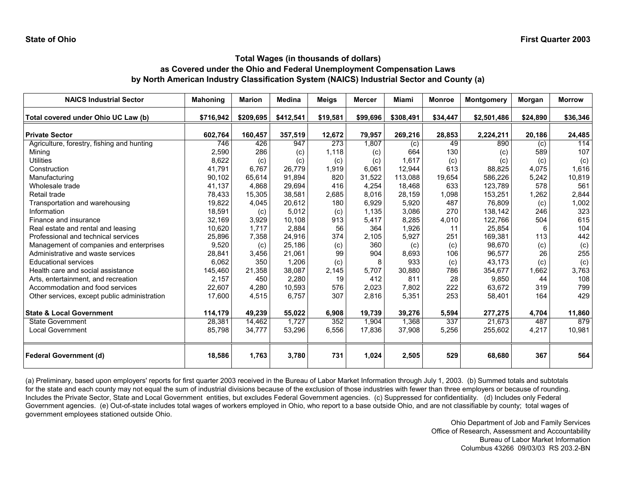| <b>NAICS Industrial Sector</b>               | <b>Mahoning</b> | <b>Marion</b> | <b>Medina</b> | Meigs    | <b>Mercer</b> | <b>Miami</b> | <b>Monroe</b> | Montgomery  | Morgan   | <b>Morrow</b> |
|----------------------------------------------|-----------------|---------------|---------------|----------|---------------|--------------|---------------|-------------|----------|---------------|
| Total covered under Ohio UC Law (b)          | \$716,942       | \$209,695     | \$412,541     | \$19,581 | \$99,696      | \$308,491    | \$34,447      | \$2,501,486 | \$24,890 | \$36,346      |
| <b>Private Sector</b>                        | 602,764         | 160,457       | 357,519       | 12,672   | 79,957        | 269,216      | 28,853        | 2,224,211   | 20,186   | 24,485        |
| Agriculture, forestry, fishing and hunting   | 746             | 426           | 947           | 273      | 1,807         | (c)          | 49            | 890         | (c)      | 114           |
| Mining                                       | 2,590           | 286           | (c)           | 1,118    | (c)           | 664          | 130           | (c)         | 589      | 107           |
| <b>Utilities</b>                             | 8,622           | (c)           | (c)           | (c)      | (c)           | 1,617        | (c)           | (c)         | (c)      | (c)           |
| Construction                                 | 41,791          | 6,767         | 26,779        | 1,919    | 6,061         | 12,944       | 613           | 88,825      | 4,075    | 1,616         |
| Manufacturing                                | 90,102          | 65,614        | 91,894        | 820      | 31,522        | 113,088      | 19,654        | 586,226     | 5,242    | 10,819        |
| Wholesale trade                              | 41,137          | 4,868         | 29,694        | 416      | 4,254         | 18,468       | 633           | 123,789     | 578      | 561           |
| Retail trade                                 | 78,433          | 15,305        | 38,581        | 2,685    | 8.016         | 28,159       | 1,098         | 153,251     | 1,262    | 2,844         |
| Transportation and warehousing               | 19,822          | 4,045         | 20,612        | 180      | 6,929         | 5,920        | 487           | 76,809      | (c)      | 1,002         |
| Information                                  | 18,591          | (c)           | 5,012         | (c)      | 1,135         | 3,086        | 270           | 138,142     | 246      | 323           |
| Finance and insurance                        | 32,169          | 3,929         | 10,108        | 913      | 5,417         | 8,285        | 4,010         | 122,766     | 504      | 615           |
| Real estate and rental and leasing           | 10,620          | 1,717         | 2,884         | 56       | 364           | 1,926        | 11            | 25,854      | 6        | 104           |
| Professional and technical services          | 25,896          | 7,358         | 24,916        | 374      | 2,105         | 5,927        | 251           | 169,381     | 113      | 442           |
| Management of companies and enterprises      | 9,520           | (c)           | 25,186        | (c)      | 360           | (c)          | (c)           | 98,670      | (c)      | (c)           |
| Administrative and waste services            | 28,841          | 3,456         | 21,061        | 99       | 904           | 8,693        | 106           | 96,577      | 26       | 255           |
| <b>Educational services</b>                  | 6,062           | 350           | 1,206         | (c)      | 8             | 933          | (c)           | 43,173      | (c)      | (c)           |
| Health care and social assistance            | 145,460         | 21,358        | 38,087        | 2,145    | 5,707         | 30,880       | 786           | 354,677     | 1,662    | 3,763         |
| Arts, entertainment, and recreation          | 2,157           | 450           | 2,280         | 19       | 412           | 811          | 28            | 9,850       | 44       | 108           |
| Accommodation and food services              | 22,607          | 4,280         | 10,593        | 576      | 2,023         | 7,802        | 222           | 63,672      | 319      | 799           |
| Other services, except public administration | 17,600          | 4,515         | 6,757         | 307      | 2,816         | 5,351        | 253           | 58,401      | 164      | 429           |
| <b>State &amp; Local Government</b>          | 114,179         | 49,239        | 55,022        | 6,908    | 19,739        | 39,276       | 5,594         | 277,275     | 4,704    | 11,860        |
| <b>State Government</b>                      | 28,381          | 14,462        | 1,727         | 352      | 1,904         | 1,368        | 337           | 21,673      | 487      | 879           |
| <b>Local Government</b>                      | 85,798          | 34,777        | 53,296        | 6,556    | 17,836        | 37,908       | 5,256         | 255,602     | 4,217    | 10,981        |
| <b>Federal Government (d)</b>                | 18,586          | 1,763         | 3,780         | 731      | 1,024         | 2,505        | 529           | 68,680      | 367      | 564           |

(a) Preliminary, based upon employers' reports for first quarter 2003 received in the Bureau of Labor Market Information through July 1, 2003. (b) Summed totals and subtotals for the state and each county may not equal the sum of industrial divisions because of the exclusion of those industries with fewer than three employers or because of rounding. Includes the Private Sector, State and Local Government entities, but excludes Federal Government agencies. (c) Suppressed for confidentiality. (d) Includes only Federal Government agencies. (e) Out-of-state includes total wages of workers employed in Ohio, who report to a base outside Ohio, and are not classifiable by county; total wages of government employees stationed outside Ohio.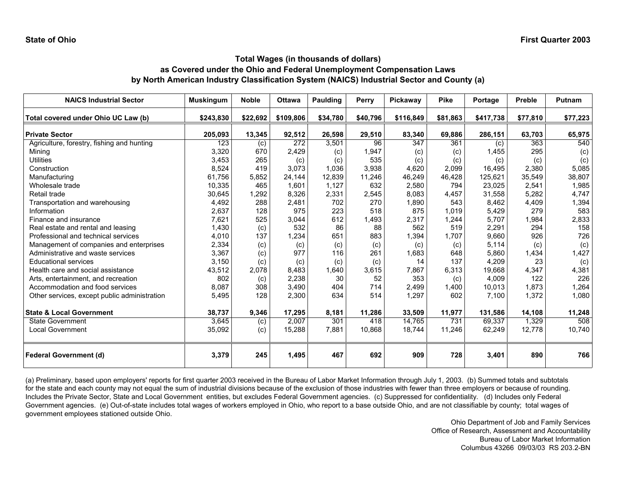| <b>NAICS Industrial Sector</b>               | <b>Muskingum</b> | <b>Noble</b> | <b>Ottawa</b> | Paulding | Perry    | Pickawav  | <b>Pike</b> | Portage   | <b>Preble</b> | Putnam   |
|----------------------------------------------|------------------|--------------|---------------|----------|----------|-----------|-------------|-----------|---------------|----------|
| Total covered under Ohio UC Law (b)          | \$243,830        | \$22,692     | \$109,806     | \$34,780 | \$40,796 | \$116,849 | \$81,863    | \$417,738 | \$77,810      | \$77,223 |
| <b>Private Sector</b>                        | 205,093          | 13,345       | 92,512        | 26,598   | 29,510   | 83,340    | 69,886      | 286,151   | 63,703        | 65,975   |
| Agriculture, forestry, fishing and hunting   | 123              | (c)          | 272           | 3,501    | 96       | 347       | 361         | (c)       | 363           | 540      |
| Mining                                       | 3,320            | 670          | 2.429         | (c)      | 1,947    | (c)       | (c)         | 1,455     | 295           | (c)      |
| <b>Utilities</b>                             | 3,453            | 265          | (c)           | (c)      | 535      | (c)       | (c)         | (c)       | (c)           | (c)      |
| Construction                                 | 8,524            | 419          | 3,073         | 1,036    | 3,938    | 4,620     | 2,099       | 16,495    | 2,380         | 5,085    |
| Manufacturing                                | 61,756           | 5,852        | 24,144        | 12,839   | 11,246   | 46,249    | 46,428      | 125,621   | 35,549        | 38,807   |
| Wholesale trade                              | 10,335           | 465          | 1.601         | 1,127    | 632      | 2,580     | 794         | 23,025    | 2,541         | 1,985    |
| Retail trade                                 | 30,645           | 1,292        | 8,326         | 2,331    | 2,545    | 8,083     | 4,457       | 31,558    | 5,282         | 4,747    |
| Transportation and warehousing               | 4,492            | 288          | 2,481         | 702      | 270      | 1,890     | 543         | 8,462     | 4,409         | 1,394    |
| Information                                  | 2,637            | 128          | 975           | 223      | 518      | 875       | 1,019       | 5,429     | 279           | 583      |
| Finance and insurance                        | 7,621            | 525          | 3,044         | 612      | 1,493    | 2,317     | 1,244       | 5,707     | 1,984         | 2,833    |
| Real estate and rental and leasing           | 1,430            | (c)          | 532           | 86       | 88       | 562       | 519         | 2,291     | 294           | 158      |
| Professional and technical services          | 4,010            | 137          | 1,234         | 651      | 883      | 1,394     | 1.707       | 9,660     | 926           | 726      |
| Management of companies and enterprises      | 2,334            | (c)          | (c)           | (c)      | (c)      | (c)       | (c)         | 5,114     | (c)           | (c)      |
| Administrative and waste services            | 3,367            | (c)          | 977           | 116      | 261      | 1,683     | 648         | 5,860     | 1,434         | 1,427    |
| <b>Educational services</b>                  | 3,150            | (c)          | (c)           | (c)      | (c)      | 14        | 137         | 4,209     | 23            | (c)      |
| Health care and social assistance            | 43,512           | 2,078        | 8.483         | 1.640    | 3,615    | 7,867     | 6,313       | 19.668    | 4,347         | 4,381    |
| Arts, entertainment, and recreation          | 802              | (c)          | 2.238         | 30       | 52       | 353       | (c)         | 4.009     | 122           | 226      |
| Accommodation and food services              | 8,087            | 308          | 3,490         | 404      | 714      | 2,499     | 1,400       | 10,013    | 1,873         | 1,264    |
| Other services, except public administration | 5,495            | 128          | 2,300         | 634      | 514      | 1,297     | 602         | 7,100     | 1,372         | 1,080    |
| <b>State &amp; Local Government</b>          | 38,737           | 9,346        | 17,295        | 8,181    | 11,286   | 33,509    | 11,977      | 131,586   | 14,108        | 11,248   |
| <b>State Government</b>                      | 3,645            | (c)          | 2,007         | 301      | 418      | 14,765    | 731         | 69,337    | 1,329         | 508      |
| <b>Local Government</b>                      | 35,092           | (c)          | 15,288        | 7,881    | 10.868   | 18.744    | 11,246      | 62,249    | 12,778        | 10,740   |
| <b>Federal Government (d)</b>                | 3,379            | 245          | 1,495         | 467      | 692      | 909       | 728         | 3,401     | 890           | 766      |

(a) Preliminary, based upon employers' reports for first quarter 2003 received in the Bureau of Labor Market Information through July 1, 2003. (b) Summed totals and subtotals for the state and each county may not equal the sum of industrial divisions because of the exclusion of those industries with fewer than three employers or because of rounding. Includes the Private Sector, State and Local Government entities, but excludes Federal Government agencies. (c) Suppressed for confidentiality. (d) Includes only Federal Government agencies. (e) Out-of-state includes total wages of workers employed in Ohio, who report to a base outside Ohio, and are not classifiable by county; total wages of government employees stationed outside Ohio.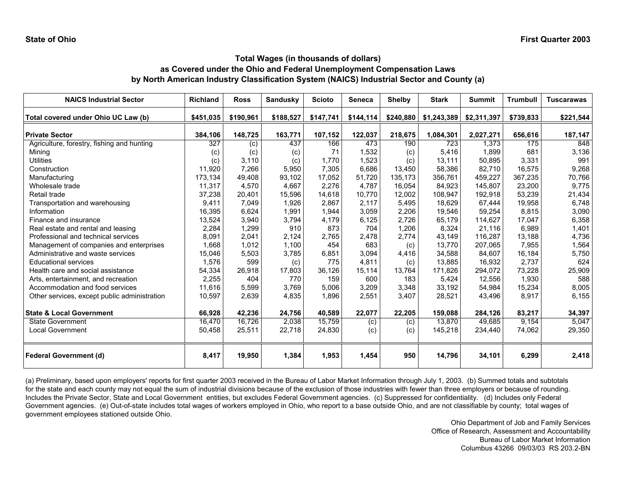| <b>NAICS Industrial Sector</b>               | <b>Richland</b> | <b>Ross</b> | <b>Sandusky</b> | <b>Scioto</b> | <b>Seneca</b> | <b>Shelby</b> | <b>Stark</b> | <b>Summit</b> | <b>Trumbull</b> | <b>Tuscarawas</b> |
|----------------------------------------------|-----------------|-------------|-----------------|---------------|---------------|---------------|--------------|---------------|-----------------|-------------------|
| Total covered under Ohio UC Law (b)          | \$451.035       | \$190,961   | \$188,527       | \$147,741     | \$144,114     | \$240,880     | \$1,243,389  | \$2,311,397   | \$739,833       | \$221,544         |
| <b>Private Sector</b>                        | 384,106         | 148,725     | 163,771         | 107,152       | 122,037       | 218,675       | 1,084,301    | 2,027,271     | 656,616         | 187,147           |
| Agriculture, forestry, fishing and hunting   | 327             | (c)         | 437             | 166           | 473           | 190           | 723          | 1,373         | 175             | 848               |
| Mining                                       | (c)             | (c)         | (c)             | 71            | 1,532         | (c)           | 5,416        | 1,899         | 681             | 3,136             |
| Utilities                                    | (c)             | 3,110       | (c)             | 1.770         | 1,523         | (c)           | 13,111       | 50,895        | 3,331           | 991               |
| Construction                                 | 11,920          | 7,266       | 5,950           | 7,305         | 6,686         | 13,450        | 58,386       | 82,710        | 16,575          | 9,268             |
| Manufacturing                                | 173,134         | 49,408      | 93,102          | 17,052        | 51,720        | 135,173       | 356,761      | 459,227       | 367,235         | 70,766            |
| Wholesale trade                              | 11,317          | 4,570       | 4,667           | 2,276         | 4.787         | 16.054        | 84.923       | 145,807       | 23,200          | 9,775             |
| Retail trade                                 | 37,238          | 20,401      | 15,596          | 14,618        | 10,770        | 12,002        | 108,947      | 192,918       | 53,239          | 21,434            |
| Transportation and warehousing               | 9,411           | 7,049       | 1,926           | 2,867         | 2,117         | 5,495         | 18,629       | 67,444        | 19,958          | 6,748             |
| Information                                  | 16,395          | 6,624       | 1,991           | 1,944         | 3,059         | 2,206         | 19.546       | 59,254        | 8,815           | 3,090             |
| Finance and insurance                        | 13,524          | 3,940       | 3,794           | 4,179         | 6,125         | 2,726         | 65,179       | 114,627       | 17,047          | 6,358             |
| Real estate and rental and leasing           | 2,284           | 1,299       | 910             | 873           | 704           | 1,206         | 8,324        | 21,116        | 6,989           | 1,401             |
| Professional and technical services          | 8,091           | 2,041       | 2,124           | 2,765         | 2,478         | 2,774         | 43,149       | 116,287       | 13,188          | 4,736             |
| Management of companies and enterprises      | 1,668           | 1,012       | 1,100           | 454           | 683           | (c)           | 13,770       | 207,065       | 7,955           | 1,564             |
| Administrative and waste services            | 15,046          | 5,503       | 3,785           | 6,851         | 3,094         | 4,416         | 34,588       | 84,607        | 16,184          | 5,750             |
| <b>Educational services</b>                  | 1,576           | 599         | (c)             | 775           | 4,811         | (c)           | 13,885       | 16,932        | 2,737           | 624               |
| Health care and social assistance            | 54,334          | 26,918      | 17,803          | 36.126        | 15.114        | 13.764        | 171,826      | 294.072       | 73,228          | 25,909            |
| Arts, entertainment, and recreation          | 2,255           | 404         | 770             | 159           | 600           | 183           | 5.424        | 12.556        | 1,930           | 588               |
| Accommodation and food services              | 11,616          | 5,599       | 3,769           | 5,006         | 3,209         | 3,348         | 33,192       | 54,984        | 15,234          | 8,005             |
| Other services, except public administration | 10,597          | 2,639       | 4,835           | 1,896         | 2,551         | 3,407         | 28,521       | 43,496        | 8,917           | 6,155             |
| <b>State &amp; Local Government</b>          | 66,928          | 42,236      | 24,756          | 40,589        | 22,077        | 22,205        | 159,088      | 284,126       | 83,217          | 34,397            |
| <b>State Government</b>                      | 16,470          | 16,726      | 2,038           | 15,759        | (c)           | (c)           | 13,870       | 49,685        | 9,154           | 5,047             |
| Local Government                             | 50,458          | 25,511      | 22,718          | 24,830        | (c)           | (c)           | 145,218      | 234,440       | 74,062          | 29,350            |
| <b>Federal Government (d)</b>                | 8,417           | 19,950      | 1,384           | 1,953         | 1,454         | 950           | 14,796       | 34,101        | 6,299           | 2,418             |

(a) Preliminary, based upon employers' reports for first quarter 2003 received in the Bureau of Labor Market Information through July 1, 2003. (b) Summed totals and subtotals for the state and each county may not equal the sum of industrial divisions because of the exclusion of those industries with fewer than three employers or because of rounding. Includes the Private Sector, State and Local Government entities, but excludes Federal Government agencies. (c) Suppressed for confidentiality. (d) Includes only Federal Government agencies. (e) Out-of-state includes total wages of workers employed in Ohio, who report to a base outside Ohio, and are not classifiable by county; total wages of government employees stationed outside Ohio.